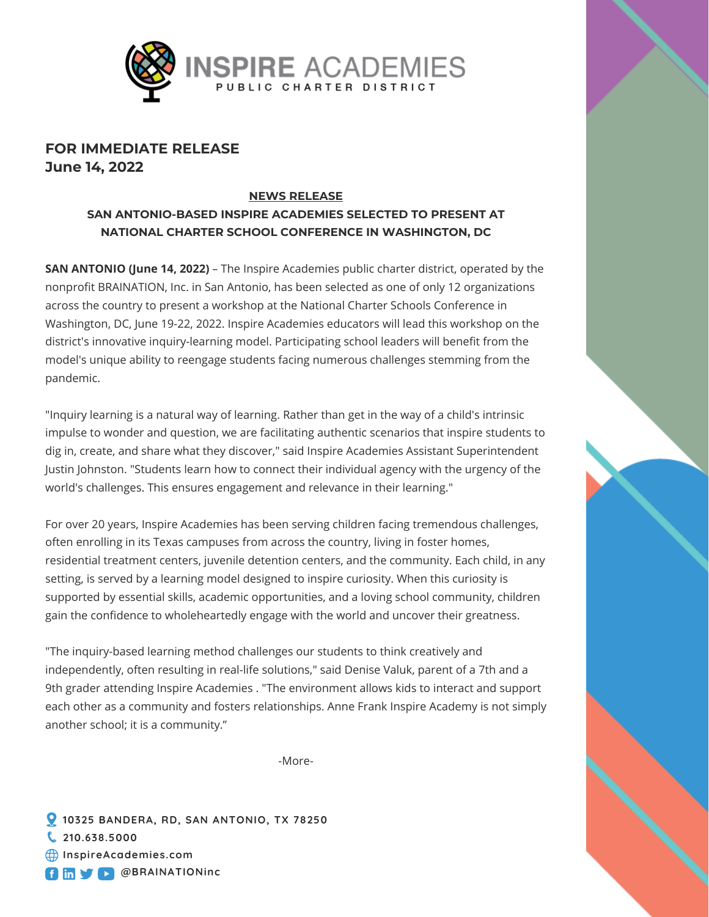

# **FOR IMMEDIATE RELEASE June 14, 2022**

#### **NEWS RELEASE**

**SAN ANTONIO-BASED INSPIRE ACADEMIES SELECTED TO PRESENT AT NATIONAL CHARTER SCHOOL CONFERENCE IN WASHINGTON, DC**

**SAN ANTONIO (June 14, 2022)** – The Inspire Academies public charter district, operated by the nonprofit BRAINATION, Inc. in San Antonio, has been selected as one of only 12 organizations across the country to present a workshop at the National Charter Schools Conference in Washington, DC, June 19-22, 2022. Inspire Academies educators will lead this workshop on the district's innovative inquiry-learning model. Participating school leaders will benefit from the model's unique ability to reengage students facing numerous challenges stemming from the pandemic.

"Inquiry learning is a natural way of learning. Rather than get in the way of a child's intrinsic impulse to wonder and question, we are facilitating authentic scenarios that inspire students to dig in, create, and share what they discover," said Inspire Academies Assistant Superintendent Justin Johnston. "Students learn how to connect their individual agency with the urgency of the world's challenges. This ensures engagement and relevance in their learning."

For over 20 years, Inspire Academies has been serving children facing tremendous challenges, often enrolling in its Texas campuses from across the country, living in foster homes, residential treatment centers, juvenile detention centers, and the community. Each child, in any setting, is served by a learning model designed to inspire curiosity. When this curiosity is supported by essential skills, academic opportunities, and a loving school community, children gain the confidence to wholeheartedly engage with the world and uncover their greatness.

"The inquiry-based learning method challenges our students to think creatively and independently, often resulting in real-life solutions," said Denise Valuk, parent of a 7th and a 9th grader attending Inspire Academies . "The environment allows kids to interact and support each other as a community and fosters relationships. Anne Frank Inspire Academy is not simply another school; it is a community."

-More-

**10325 BANDERA, RD, SAN ANTONIO, TX 78250 210.638.5000 [InspireAcademies.com](https://www.inspireacademies.com/) C** Im **V C** @BRAINATIONinc